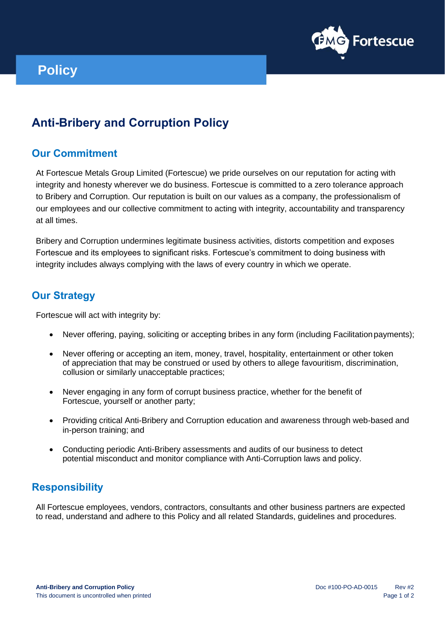

# **Policy**

## **Anti-Bribery and Corruption Policy**

#### **Our Commitment**

At Fortescue Metals Group Limited (Fortescue) we pride ourselves on our reputation for acting with integrity and honesty wherever we do business. Fortescue is committed to a zero tolerance approach to Bribery and Corruption. Our reputation is built on our values as a company, the professionalism of our employees and our collective commitment to acting with integrity, accountability and transparency at all times.

Bribery and Corruption undermines legitimate business activities, distorts competition and exposes Fortescue and its employees to significant risks. Fortescue's commitment to doing business with integrity includes always complying with the laws of every country in which we operate.

#### **Our Strategy**

Fortescue will act with integrity by:

- Never offering, paying, soliciting or accepting bribes in any form (including Facilitation payments);
- Never offering or accepting an item, money, travel, hospitality, entertainment or other token of appreciation that may be construed or used by others to allege favouritism, discrimination, collusion or similarly unacceptable practices;
- Never engaging in any form of corrupt business practice, whether for the benefit of Fortescue, yourself or another party;
- Providing critical Anti-Bribery and Corruption education and awareness through web-based and in-person training; and
- Conducting periodic Anti-Bribery assessments and audits of our business to detect potential misconduct and monitor compliance with Anti-Corruption laws and policy.

### **Responsibility**

All Fortescue employees, vendors, contractors, consultants and other business partners are expected to read, understand and adhere to this Policy and all related Standards, guidelines and procedures.